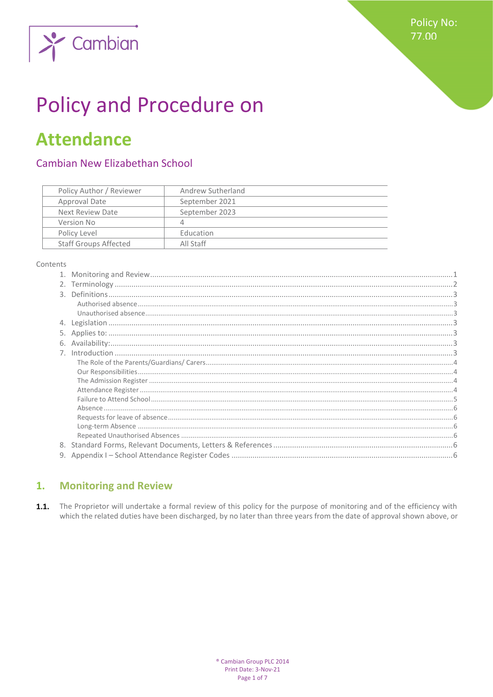

# **Policy and Procedure on**

## **Attendance**

## Cambian New Elizabethan School

| Policy Author / Reviewer     | Andrew Sutherland |
|------------------------------|-------------------|
| Approval Date                | September 2021    |
| Next Review Date             | September 2023    |
| Version No                   | Δ                 |
| Policy Level                 | Education         |
| <b>Staff Groups Affected</b> | All Staff         |

#### Contents

#### <span id="page-0-0"></span>**Monitoring and Review**  $\overline{1}$ .

 $1.1.$ The Proprietor will undertake a formal review of this policy for the purpose of monitoring and of the efficiency with which the related duties have been discharged, by no later than three years from the date of approval shown above, or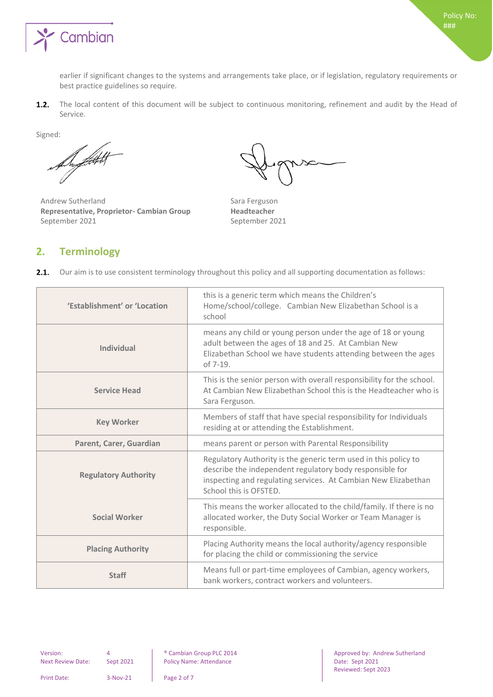

earlier if significant changes to the systems and arrangements take place, or if legislation, regulatory requirements or best practice guidelines so require.

The local content of this document will be subject to continuous monitoring, refinement and audit by the Head of  $1.2.$ Service.

Signed:

Support

Andrew Sutherland Sara Ferguson **Representative, Proprietor- Cambian Group Headteacher** September 2021 and September 2021

## <span id="page-1-0"></span>**2. Terminology**

 $2.1.$ Our aim is to use consistent terminology throughout this policy and all supporting documentation as follows:

| 'Establishment' or 'Location | this is a generic term which means the Children's<br>Home/school/college. Cambian New Elizabethan School is a<br>school                                                                                                 |
|------------------------------|-------------------------------------------------------------------------------------------------------------------------------------------------------------------------------------------------------------------------|
| Individual                   | means any child or young person under the age of 18 or young<br>adult between the ages of 18 and 25. At Cambian New<br>Elizabethan School we have students attending between the ages<br>of $7-19$ .                    |
| <b>Service Head</b>          | This is the senior person with overall responsibility for the school.<br>At Cambian New Elizabethan School this is the Headteacher who is<br>Sara Ferguson.                                                             |
| <b>Key Worker</b>            | Members of staff that have special responsibility for Individuals<br>residing at or attending the Establishment.                                                                                                        |
| Parent, Carer, Guardian      | means parent or person with Parental Responsibility                                                                                                                                                                     |
| <b>Regulatory Authority</b>  | Regulatory Authority is the generic term used in this policy to<br>describe the independent regulatory body responsible for<br>inspecting and regulating services. At Cambian New Elizabethan<br>School this is OFSTED. |
| <b>Social Worker</b>         | This means the worker allocated to the child/family. If there is no<br>allocated worker, the Duty Social Worker or Team Manager is<br>responsible.                                                                      |
| <b>Placing Authority</b>     | Placing Authority means the local authority/agency responsible<br>for placing the child or commissioning the service                                                                                                    |
| <b>Staff</b>                 | Means full or part-time employees of Cambian, agency workers,<br>bank workers, contract workers and volunteers.                                                                                                         |

Next Review Date: Sept 2021 | Policy Name: Attendance | Date: Sept 2021

Version: 4 8 | Cambian Group PLC 2014 | Approved by: Andrew Sutherland Reviewed: Sept 2023

Print Date: 3-Nov-21 Page 2 of 7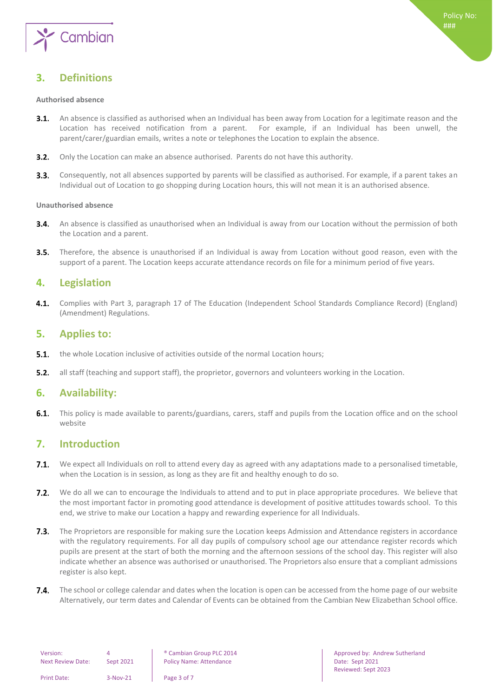

## <span id="page-2-0"></span>**3. Definitions**

#### <span id="page-2-1"></span>**Authorised absence**

- $3.1.$ An absence is classified as authorised when an Individual has been away from Location for a legitimate reason and the Location has received notification from a parent. For example, if an Individual has been unwell, the parent/carer/guardian emails, writes a note or telephones the Location to explain the absence.
- **3.2.** Only the Location can make an absence authorised. Parents do not have this authority.
- $3.3.$ Consequently, not all absences supported by parents will be classified as authorised. For example, if a parent takes an Individual out of Location to go shopping during Location hours, this will not mean it is an authorised absence.

#### <span id="page-2-2"></span>**Unauthorised absence**

- $3.4.$ An absence is classified as unauthorised when an Individual is away from our Location without the permission of both the Location and a parent.
- $3.5.$ Therefore, the absence is unauthorised if an Individual is away from Location without good reason, even with the support of a parent. The Location keeps accurate attendance records on file for a minimum period of five years.

#### <span id="page-2-3"></span>**4. Legislation**

 $4.1.$ Complies with Part 3, paragraph 17 of The Education (Independent School Standards Compliance Record) (England) (Amendment) Regulations.

#### <span id="page-2-4"></span>**5. Applies to:**

- $5.1.$ the whole Location inclusive of activities outside of the normal Location hours;
- <span id="page-2-5"></span> $5.2.$ all staff (teaching and support staff), the proprietor, governors and volunteers working in the Location.

#### **6. Availability:**

 $6.1.$ This policy is made available to parents/guardians, carers, staff and pupils from the Location office and on the school website

#### <span id="page-2-6"></span>**7. Introduction**

- $7.1.$ We expect all Individuals on roll to attend every day as agreed with any adaptations made to a personalised timetable, when the Location is in session, as long as they are fit and healthy enough to do so.
- $7.2.$ We do all we can to encourage the Individuals to attend and to put in place appropriate procedures. We believe that the most important factor in promoting good attendance is development of positive attitudes towards school. To this end, we strive to make our Location a happy and rewarding experience for all Individuals.
- $7.3.$ The Proprietors are responsible for making sure the Location keeps Admission and Attendance registers in accordance with the regulatory requirements. For all day pupils of compulsory school age our attendance register records which pupils are present at the start of both the morning and the afternoon sessions of the school day. This register will also indicate whether an absence was authorised or unauthorised. The Proprietors also ensure that a compliant admissions register is also kept.
- 7.4. The school or college calendar and dates when the location is open can be accessed from the home page of our website Alternatively, our term dates and Calendar of Events can be obtained from the Cambian New Elizabethan School office.

| Version:                 |            |  |
|--------------------------|------------|--|
| <b>Next Review Date:</b> | Sept 2021  |  |
|                          |            |  |
| Print Date:              | $3-N0V-21$ |  |

Policy Name: Attendance **Next Active Active Active Acts** Date: Sept 2021

Page 3 of 7

Version: 4 ® Cambian Group PLC 2014 Approved by: Andrew Sutherland Reviewed: Sept 2023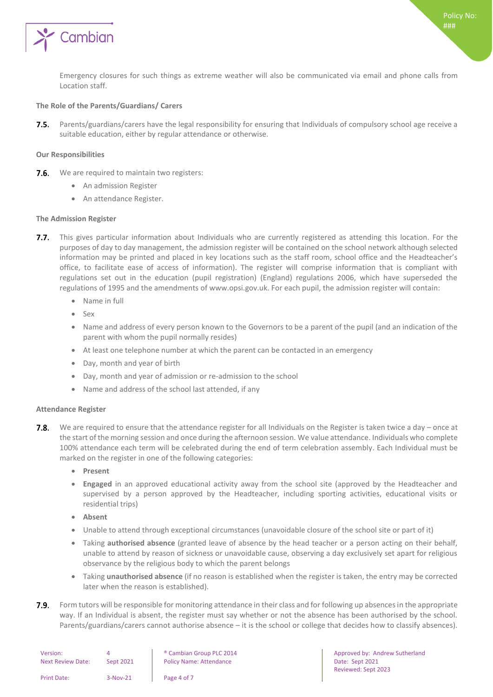

Emergency closures for such things as extreme weather will also be communicated via email and phone calls from Location staff.

#### <span id="page-3-0"></span>**The Role of the Parents/Guardians/ Carers**

Parents/guardians/carers have the legal responsibility for ensuring that Individuals of compulsory school age receive a  $7.5.$ suitable education, either by regular attendance or otherwise.

#### <span id="page-3-1"></span>**Our Responsibilities**

- **7.6.** We are required to maintain two registers:
	- An admission Register
	- An attendance Register.

#### <span id="page-3-2"></span>**The Admission Register**

- 7.7. This gives particular information about Individuals who are currently registered as attending this location. For the purposes of day to day management, the admission register will be contained on the school network although selected information may be printed and placed in key locations such as the staff room, school office and the Headteacher's office, to facilitate ease of access of information). The register will comprise information that is compliant with regulations set out in the education (pupil registration) (England) regulations 2006, which have superseded the regulations of 1995 and the amendments of www.opsi.gov.uk. For each pupil, the admission register will contain:
	- Name in full
	- $S_{\rho X}$
	- Name and address of every person known to the Governors to be a parent of the pupil (and an indication of the parent with whom the pupil normally resides)
	- At least one telephone number at which the parent can be contacted in an emergency
	- Day, month and year of birth
	- Day, month and year of admission or re-admission to the school
	- Name and address of the school last attended, if any

#### <span id="page-3-3"></span>**Attendance Register**

- We are required to ensure that the attendance register for all Individuals on the Register is taken twice a day once at  $7.8.$ the start of the morning session and once during the afternoon session. We value attendance. Individuals who complete 100% attendance each term will be celebrated during the end of term celebration assembly. Each Individual must be marked on the register in one of the following categories:
	- **Present**
	- **Engaged** in an approved educational activity away from the school site (approved by the Headteacher and supervised by a person approved by the Headteacher, including sporting activities, educational visits or residential trips)
	- **Absent**
	- Unable to attend through exceptional circumstances (unavoidable closure of the school site or part of it)
	- Taking **authorised absence** (granted leave of absence by the head teacher or a person acting on their behalf, unable to attend by reason of sickness or unavoidable cause, observing a day exclusively set apart for religious observance by the religious body to which the parent belongs
	- Taking **unauthorised absence** (if no reason is established when the register is taken, the entry may be corrected later when the reason is established).
- $7.9.$ Form tutors will be responsible for monitoring attendance in their class and for following up absences in the appropriate way. If an Individual is absent, the register must say whether or not the absence has been authorised by the school. Parents/guardians/carers cannot authorise absence – it is the school or college that decides how to classify absences).

| Version:<br><b>Next Review Date:</b> | Sept 2021  | <sup>®</sup> Cambian Group PLC 2014<br><b>Policy Name: Attendance</b> |
|--------------------------------------|------------|-----------------------------------------------------------------------|
| <b>Print Date:</b>                   | $3-Nov-21$ | Page 4 of 7                                                           |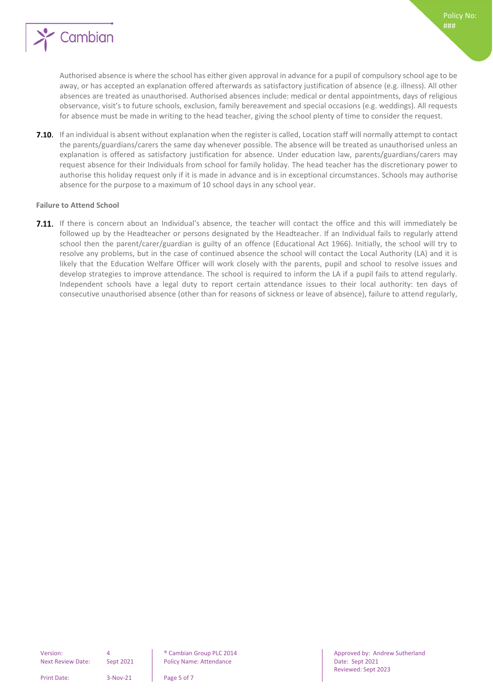

**7.10.** If an individual is absent without explanation when the register is called, Location staff will normally attempt to contact the parents/guardians/carers the same day whenever possible. The absence will be treated as unauthorised unless an explanation is offered as satisfactory justification for absence. Under education law, parents/guardians/carers may request absence for their Individuals from school for family holiday. The head teacher has the discretionary power to authorise this holiday request only if it is made in advance and is in exceptional circumstances. Schools may authorise absence for the purpose to a maximum of 10 school days in any school year.

#### <span id="page-4-0"></span>**Failure to Attend School**

7.11. If there is concern about an Individual's absence, the teacher will contact the office and this will immediately be followed up by the Headteacher or persons designated by the Headteacher. If an Individual fails to regularly attend school then the parent/carer/guardian is guilty of an offence (Educational Act 1966). Initially, the school will try to resolve any problems, but in the case of continued absence the school will contact the Local Authority (LA) and it is likely that the Education Welfare Officer will work closely with the parents, pupil and school to resolve issues and develop strategies to improve attendance. The school is required to inform the LA if a pupil fails to attend regularly. Independent schools have a legal duty to report certain attendance issues to their local authority: ten days of consecutive unauthorised absence (other than for reasons of sickness or leave of absence), failure to attend regularly,

Print Date: 3-Nov-21 Page 5 of 7

Version: 4 ® Cambian Group PLC 2014 Approved by: Andrew Sutherland Reviewed: Sept 2023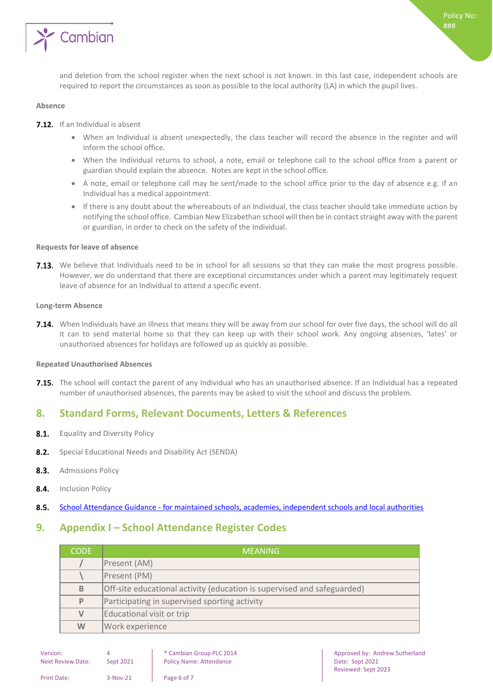

and deletion from the school register when the next school is not known. In this last case, independent schools are required to report the circumstances as soon as possible to the local authority (LA) in which the pupil lives.

#### <span id="page-5-0"></span>**Absence**

**7.12.** If an Individual is absent

- When an Individual is absent unexpectedly, the class teacher will record the absence in the register and will inform the school office.
- When the Individual returns to school, a note, email or telephone call to the school office from a parent or guardian should explain the absence. Notes are kept in the school office.
- A note, email or telephone call may be sent/made to the school office prior to the day of absence e.g. if an Individual has a medical appointment.
- If there is any doubt about the whereabouts of an Individual, the class teacher should take immediate action by notifying the school office. Cambian New Elizabethan school will then be in contact straight away with the parent or guardian, in order to check on the safety of the Individual.

#### <span id="page-5-1"></span>**Requests for leave of absence**

7.13. We believe that Individuals need to be in school for all sessions so that they can make the most progress possible. However, we do understand that there are exceptional circumstances under which a parent may legitimately request leave of absence for an Individual to attend a specific event.

#### <span id="page-5-2"></span>**Long-term Absence**

7.14. When Individuals have an illness that means they will be away from our school for over five days, the school will do all it can to send material home so that they can keep up with their school work. Any ongoing absences, 'lates' or unauthorised absences for holidays are followed up as quickly as possible.

#### <span id="page-5-3"></span>**Repeated Unauthorised Absences**

**7.15.** The school will contact the parent of any Individual who has an unauthorised absence. If an Individual has a repeated number of unauthorised absences, the parents may be asked to visit the school and discuss the problem.

### <span id="page-5-4"></span>**8. Standard Forms, Relevant Documents, Letters & References**

- $8.1.$ Equality and Diversity Policy
- $8.2.$ Special Educational Needs and Disability Act (SENDA)
- $8.3.$ Admissions Policy
- $8.4.$ Inclusion Policy
- <span id="page-5-5"></span>School Attendance Guidance - [for maintained schools, academies, independent schools and local authorities](https://www.gov.uk/government/uploads/system/uploads/attachment_data/file/564599/school_attendance.pdf)  $8.5.$

#### **9. Appendix I – School Attendance Register Codes**

| <b>CODE</b> | MEANING'                                                                |
|-------------|-------------------------------------------------------------------------|
|             | Present (AM)                                                            |
|             | Present (PM)                                                            |
| B           | Off-site educational activity (education is supervised and safeguarded) |
| P           | Participating in supervised sporting activity                           |
| $\vee$      | Educational visit or trip                                               |
| W           | Work experience                                                         |